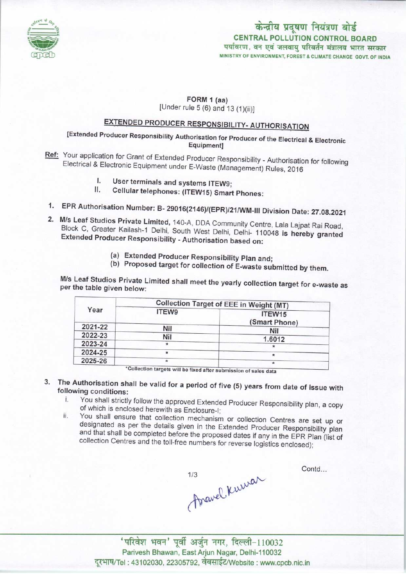

### केन्द्रीय प्रदूषण नियंत्रण बोर्ड CENTRAL POLLUTION CONTROL BOARD पर्यावरण, वन एवं जलवायु परिवर्तन मंत्रालय भारत सरकार MINISTRY OF ENVIRONMENT, FOREST S CLIMATE CHANGE GOVT. OF INDIA

#### FORM 1 (aa)

[Under rule  $5(6)$  and  $13(1)(ii)$ ]

# EXTENDED PRODUCER RESPONSIBILITY- AUTHORISATION

## [Extended Producer Responsibility Authorisation for Producer of the Electrical & Electronic Equipment]

- Ref: Your application for Grant of Extended Producer Responsibility Authorisation for following Electrical & Electronic Equipment under E-Waste (Management) Rules, 2016
	- I. User terminals and systems ITEW9;<br>II. Cellular telephones: (ITEW15) Smart
	- Cellular telephones: (ITEW15) Smart Phones:
- 1.EPR Authorisation Number: B- 29016(2146)/(EPR)/21/WM-lll Division Date: 27.08.2021
- 2.M/s Leaf Studios Private Limited, 140-A, DDA Community Centre, Lala Lajpat Rai Road, Block C, Greater Kailash-1 Delhi, South West Delhi, Delhi- 110048 is hereby granted Extended Producer Responsibility - Authorisation based on:
	- (a)Extended Producer Responsibility Plan and;
	- (b) Proposed target for collection of E-waste submitted by them.

M/s Leaf Studios Private Limited shall meet the yearly collection target for e-waste as per the table given below:

| Year    | Collection Target of EEE in Weight (MT) |                         |
|---------|-----------------------------------------|-------------------------|
|         | ITEW9                                   | ITEW15<br>(Smart Phone) |
| 2021-22 | Nil                                     | Nil                     |
| 2022-23 | Nil                                     | 1.6012                  |
| 2023-24 |                                         | *                       |
| 2024-25 | ÷                                       | ÷                       |
| 2025-26 |                                         | $\ast$                  |

<sup>\*</sup>Collection targets will be fixed after submission of sales data

3. The Authorisation shall be valid for a period of five (5) years from date of issue with following conditions:

- i. You shall strictly follow the approved Extended Producer Responsibility plan, a copy of which is enclosed herewith as Enclosure-I;
- ii. You shall ensure that collection mechanism or collection Centres are set up or designated as per the details given in the Extended Producer Responsibility plan and that shall be completed before the proposed dates if any in the EPR Plan (list of collection Centres and the toll-free numbers for reverse logistics enclosed);

Travel Kurrar

Contd...

' परिवेश भवन' पूर्वी अर्जुन नगर, दिल्ली-110032 Parivesh Bhawan, East Afjun Nagar, Delhi-110032 दूरभाष/Tel : 43102030, 22305792, वेबसाईट/Website : www.cpcb.nic.in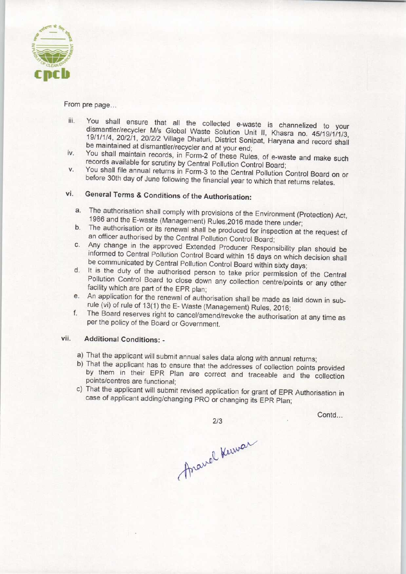

From pre page...

- iii. You shall ensure that all the collected e-waste is channelized to your dismantler/recycler M/s Global Waste Solution Unit II, Khasra no. 45/19/1/1/3, 19/1/1/4, 20/2/1, 20/2/2 Village Dhaturi, District Sonipat, Haryana and record shall be maintained at dismantler/recycler and at your end;
- iv. You shall maintain records, in Form-2 of these Rules, of e-waste and make such records available for scrutiny by Central Pollution Control Board;
- v. You shall file annual returns in Form-3 to the Central Pollution Control Board on or before 30th day of June following the financial year to which that returns relates.

## vi. General Terms & Conditions of the Authorisation:

- a.The authorisation shall comply with provisions of the Environment (Protection) Act, 1986 and the E-waste (Management) Rules,2016 made there under;
- b.The authorisation or its renewal shall be produced for inspection at the request of an officer authorised by the Central Pollution Control Board;
- c.Any change in the approved Extended Producer Responsibility plan should be informed to Central Pollution Control Board within 15 days on which decision shall be communicated by Central Pollution Control Board within sixty days;
- d. It is the duty of the authorised person to take prior permission of the Central Pollution Control Board to close down any collection centre/points or any other facility which are part of the EPR plan;
- e.An application for the renewal of authorisation shall be made as laid down in subrule (vi) of rule of 13(1) the E- Waste (Management) Rules, 2016;
- f.The Board reserves right to cancel/amend/revoke the authorisation at any time as perthe policy of the Board or Government.

#### vii. Additional Conditions: -

- a) That the applicant will submit annual sales data along with annual returns;
- b) That the applicant has to ensure that the addresses of collection points provided by them in their EPR Plan are correct and traceable and the collection points/centres are functional;
- c) That the applicant will submit revised application for grant of EPR Authorisation in case of applicant adding/changing PRO or changing its EPR Plan;

Contd...

2/3<br>Aravel Kuwar